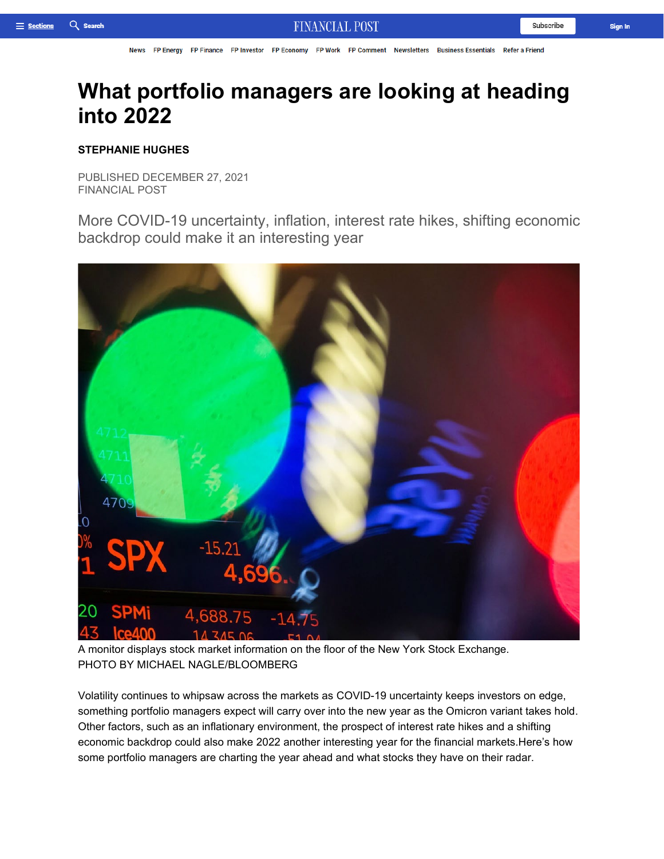FP Finance FP Investor FP Economy FP Work FP Comment Newsletters **FP Energy Refer a Friend News Business Essentials** 

# **What portfolio managers are looking at heading into 2022**

## **STEPHANIE HUGHES**

PUBLISHED DECEMBER 27, 2021 FINANCIAL POST

More COVID-19 uncertainty, inflation, interest rate hikes, shifting economic backdrop could make it an interesting year



A monitor displays stock market information on the floor of the New York Stock Exchange. PHOTO BY MICHAEL NAGLE/BLOOMBERG

Volatility continues to whipsaw across the markets as COVID-19 uncertainty keeps investors on edge, something portfolio managers expect will carry over into the new year as the Omicron variant takes hold. Other factors, such as an inflationary environment, the prospect of interest rate hikes and a shifting economic backdrop could also make 2022 another interesting year for the financial markets.Here's how some portfolio managers are charting the year ahead and what stocks they have on their radar.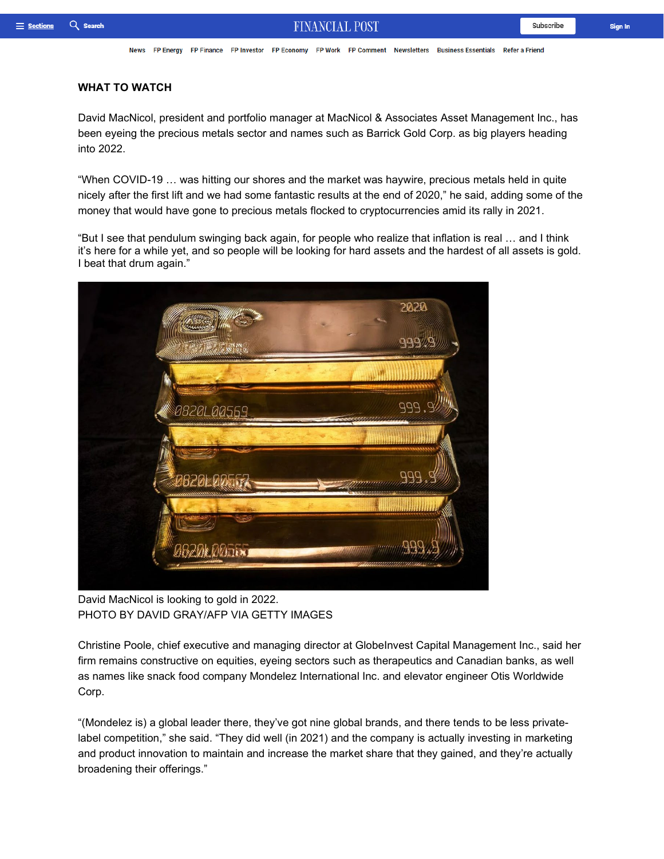News FP Energy FP Finance FP Investor FP Economy FP Work FP Comment Newsletters Business Essentials Refer a Friend

#### **WHAT TO WATCH**

David MacNicol, president and portfolio manager at MacNicol & Associates Asset Management Inc., has been eyeing the precious metals sector and names such as Barrick Gold Corp. as big players heading into 2022.

"When COVID-19 … was hitting our shores and the market was haywire, precious metals held in quite nicely after the first lift and we had some fantastic results at the end of 2020," he said, adding some of the money that would have gone to precious metals flocked to cryptocurrencies amid its rally in 2021.

"But I see that pendulum swinging back again, for people who realize that inflation is real … and I think it's here for a while yet, and so people will be looking for hard assets and the hardest of all assets is gold. I beat that drum again."



David MacNicol is looking to gold in 2022. PHOTO BY DAVID GRAY/AFP VIA GETTY IMAGES

Christine Poole, chief executive and managing director at GlobeInvest Capital Management Inc., said her firm remains constructive on equities, eyeing sectors such as therapeutics and Canadian banks, as well as names like snack food company Mondelez International Inc. and elevator engineer Otis Worldwide Corp.

"(Mondelez is) a global leader there, they've got nine global brands, and there tends to be less privatelabel competition," she said. "They did well (in 2021) and the company is actually investing in marketing and product innovation to maintain and increase the market share that they gained, and they're actually broadening their offerings."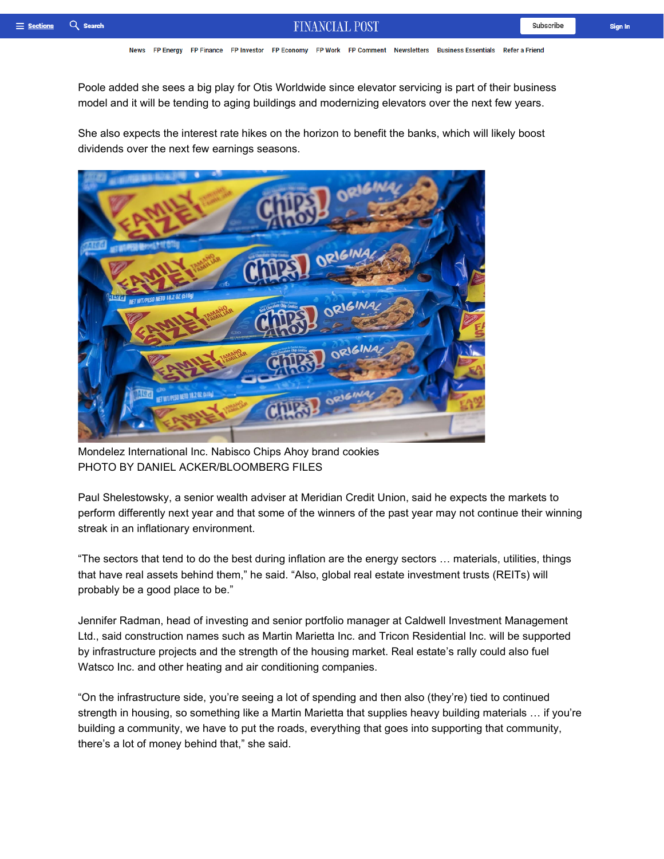Sign In

Poole added she sees a big play for Otis Worldwide since elevator servicing is part of their business model and it will be tending to aging buildings and modernizing elevators over the next few years.

She also expects the interest rate hikes on the horizon to benefit the banks, which will likely boost dividends over the next few earnings seasons.



Mondelez International Inc. Nabisco Chips Ahoy brand cookies PHOTO BY DANIEL ACKER/BLOOMBERG FILES

Paul Shelestowsky, a senior wealth adviser at Meridian Credit Union, said he expects the markets to perform differently next year and that some of the winners of the past year may not continue their winning streak in an inflationary environment.

"The sectors that tend to do the best during inflation are the energy sectors … materials, utilities, things that have real assets behind them," he said. "Also, global real estate investment trusts (REITs) will probably be a good place to be."

Jennifer Radman, head of investing and senior portfolio manager at Caldwell Investment Management Ltd., said construction names such as Martin Marietta Inc. and Tricon Residential Inc. will be supported by infrastructure projects and the strength of the housing market. Real estate's rally could also fuel Watsco Inc. and other heating and air conditioning companies.

"On the infrastructure side, you're seeing a lot of spending and then also (they're) tied to continued strength in housing, so something like a Martin Marietta that supplies heavy building materials … if you're building a community, we have to put the roads, everything that goes into supporting that community, there's a lot of money behind that," she said.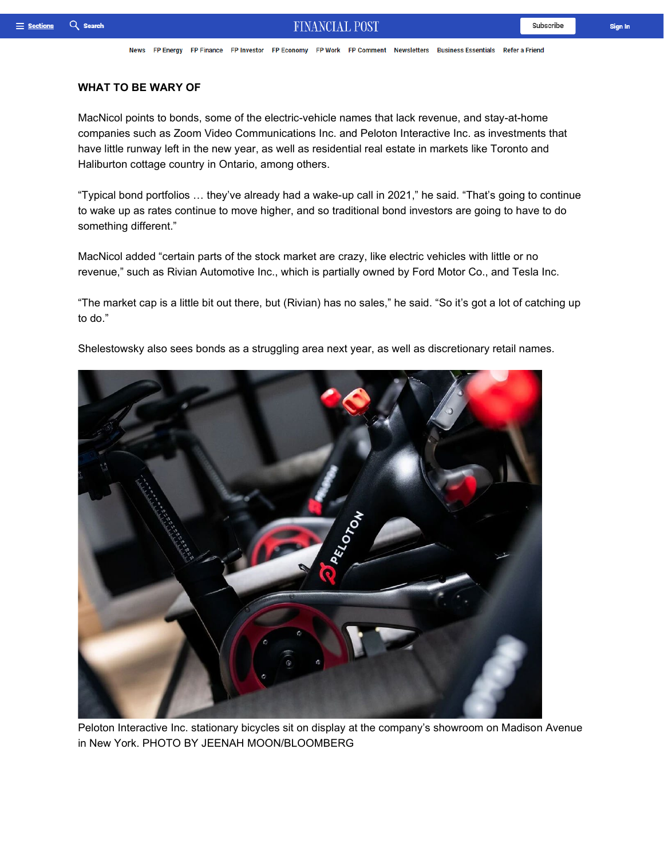News FP Energy FP Finance FP Investor FP Economy FP Work FP Comment Newsletters Business Essentials Refer a Friend

#### **WHAT TO BE WARY OF**

MacNicol points to bonds, some of the electric-vehicle names that lack revenue, and stay-at-home companies such as Zoom Video Communications Inc. and Peloton Interactive Inc. as investments that have little runway left in the new year, as well as residential real estate in markets like Toronto and Haliburton cottage country in Ontario, among others.

"Typical bond portfolios … they've already had a wake-up call in 2021," he said. "That's going to continue to wake up as rates continue to move higher, and so traditional bond investors are going to have to do something different."

MacNicol added "certain parts of the stock market are crazy, like electric vehicles with little or no revenue," such as Rivian Automotive Inc., which is partially owned by Ford Motor Co., and Tesla Inc.

"The market cap is a little bit out there, but (Rivian) has no sales," he said. "So it's got a lot of catching up to do."

Shelestowsky also sees bonds as a struggling area next year, as well as discretionary retail names.



Peloton Interactive Inc. stationary bicycles sit on display at the company's showroom on Madison Avenue in New York. PHOTO BY JEENAH MOON/BLOOMBERG